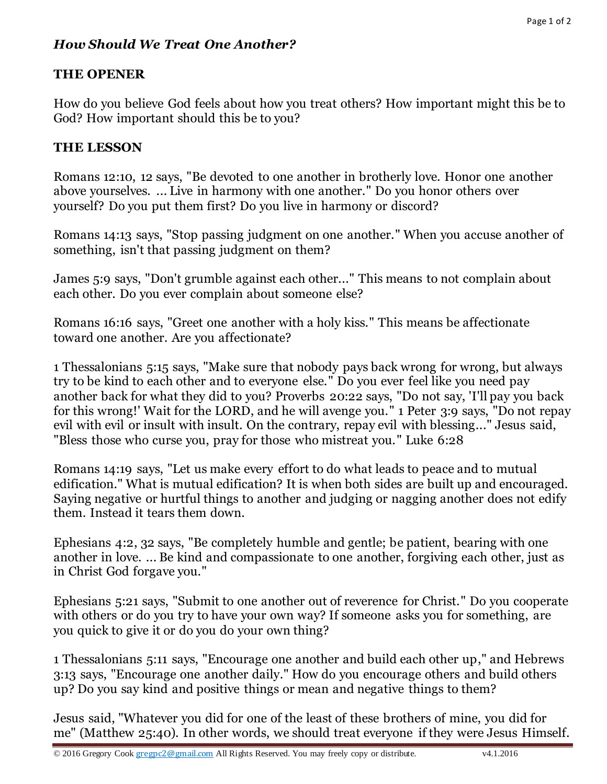# *How Should We Treat One Another?*

## **THE OPENER**

How do you believe God feels about how you treat others? How important might this be to God? How important should this be to you?

### **THE LESSON**

Romans 12:10, 12 says, "Be devoted to one another in brotherly love. Honor one another above yourselves. ... Live in harmony with one another." Do you honor others over yourself? Do you put them first? Do you live in harmony or discord?

Romans 14:13 says, "Stop passing judgment on one another." When you accuse another of something, isn't that passing judgment on them?

James 5:9 says, "Don't grumble against each other..." This means to not complain about each other. Do you ever complain about someone else?

Romans 16:16 says, "Greet one another with a holy kiss." This means be affectionate toward one another. Are you affectionate?

1 Thessalonians 5:15 says, "Make sure that nobody pays back wrong for wrong, but always try to be kind to each other and to everyone else." Do you ever feel like you need pay another back for what they did to you? Proverbs 20:22 says, "Do not say, 'I'll pay you back for this wrong!' Wait for the LORD, and he will avenge you." 1 Peter 3:9 says, "Do not repay evil with evil or insult with insult. On the contrary, repay evil with blessing..." Jesus said, "Bless those who curse you, pray for those who mistreat you." Luke 6:28

Romans 14:19 says, "Let us make every effort to do what leads to peace and to mutual edification." What is mutual edification? It is when both sides are built up and encouraged. Saying negative or hurtful things to another and judging or nagging another does not edify them. Instead it tears them down.

Ephesians 4:2, 32 says, "Be completely humble and gentle; be patient, bearing with one another in love. ... Be kind and compassionate to one another, forgiving each other, just as in Christ God forgave you."

Ephesians 5:21 says, "Submit to one another out of reverence for Christ." Do you cooperate with others or do you try to have your own way? If some one asks you for something, are you quick to give it or do you do your own thing?

1 Thessalonians 5:11 says, "Encourage one another and build each other up," and Hebrews 3:13 says, "Encourage one another daily." How do you encourage others and build others up? Do you say kind and positive things or mean and negative things to them?

Jesus said, "Whatever you did for one of the least of these brothers of mine, you did for me" (Matthew 25:40). In other words, we should treat everyone if they were Jesus Himself.